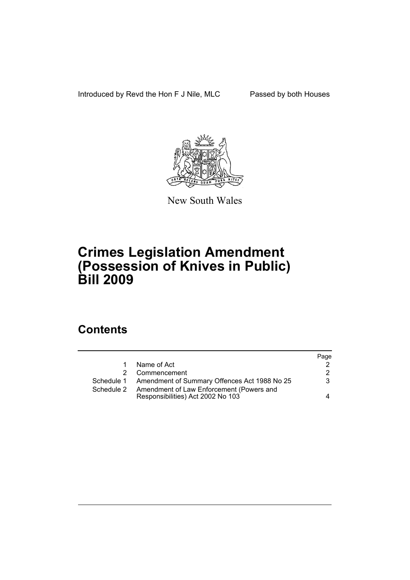Introduced by Revd the Hon F J Nile, MLC Passed by both Houses



New South Wales

# **Crimes Legislation Amendment (Possession of Knives in Public) Bill 2009**

## **Contents**

|                                                         | Page                              |
|---------------------------------------------------------|-----------------------------------|
| Name of Act                                             |                                   |
| Commencement                                            | 2                                 |
| Schedule 1 Amendment of Summary Offences Act 1988 No 25 | 3                                 |
| Amendment of Law Enforcement (Powers and                |                                   |
|                                                         | 4                                 |
|                                                         | Responsibilities) Act 2002 No 103 |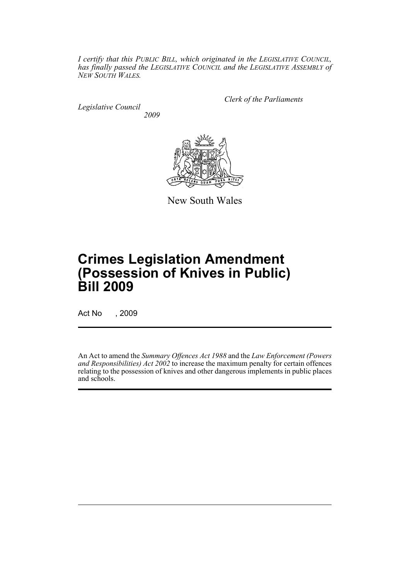*I certify that this PUBLIC BILL, which originated in the LEGISLATIVE COUNCIL, has finally passed the LEGISLATIVE COUNCIL and the LEGISLATIVE ASSEMBLY of NEW SOUTH WALES.*

*Legislative Council 2009* *Clerk of the Parliaments*



New South Wales

# **Crimes Legislation Amendment (Possession of Knives in Public) Bill 2009**

Act No , 2009

An Act to amend the *Summary Offences Act 1988* and the *Law Enforcement (Powers and Responsibilities) Act 2002* to increase the maximum penalty for certain offences relating to the possession of knives and other dangerous implements in public places and schools.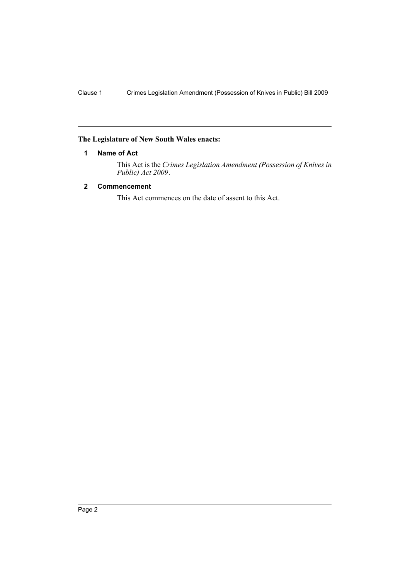### <span id="page-2-0"></span>**The Legislature of New South Wales enacts:**

### **1 Name of Act**

This Act is the *Crimes Legislation Amendment (Possession of Knives in Public) Act 2009*.

## <span id="page-2-1"></span>**2 Commencement**

This Act commences on the date of assent to this Act.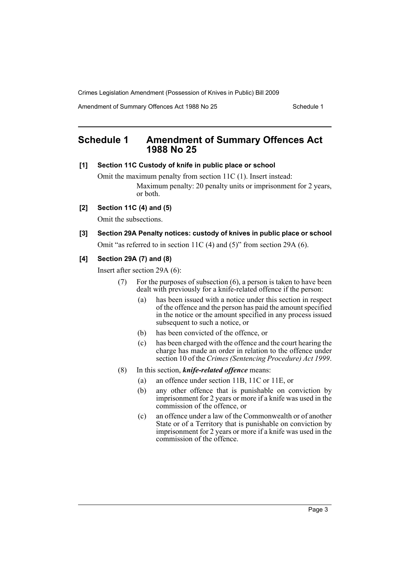Crimes Legislation Amendment (Possession of Knives in Public) Bill 2009

Amendment of Summary Offences Act 1988 No 25 Schedule 1

## <span id="page-3-0"></span>**Schedule 1 Amendment of Summary Offences Act 1988 No 25**

#### **[1] Section 11C Custody of knife in public place or school**

Omit the maximum penalty from section 11C (1). Insert instead: Maximum penalty: 20 penalty units or imprisonment for 2 years, or both.

**[2] Section 11C (4) and (5)**

Omit the subsections.

## **[3] Section 29A Penalty notices: custody of knives in public place or school**

Omit "as referred to in section 11C (4) and (5)" from section 29A (6).

## **[4] Section 29A (7) and (8)**

Insert after section 29A (6):

- (7) For the purposes of subsection (6), a person is taken to have been dealt with previously for a knife-related offence if the person:
	- (a) has been issued with a notice under this section in respect of the offence and the person has paid the amount specified in the notice or the amount specified in any process issued subsequent to such a notice, or
	- (b) has been convicted of the offence, or
	- (c) has been charged with the offence and the court hearing the charge has made an order in relation to the offence under section 10 of the *Crimes (Sentencing Procedure) Act 1999*.
- (8) In this section, *knife-related offence* means:
	- (a) an offence under section 11B, 11C or 11E, or
	- (b) any other offence that is punishable on conviction by imprisonment for 2 years or more if a knife was used in the commission of the offence, or
	- (c) an offence under a law of the Commonwealth or of another State or of a Territory that is punishable on conviction by imprisonment for 2 years or more if a knife was used in the commission of the offence.